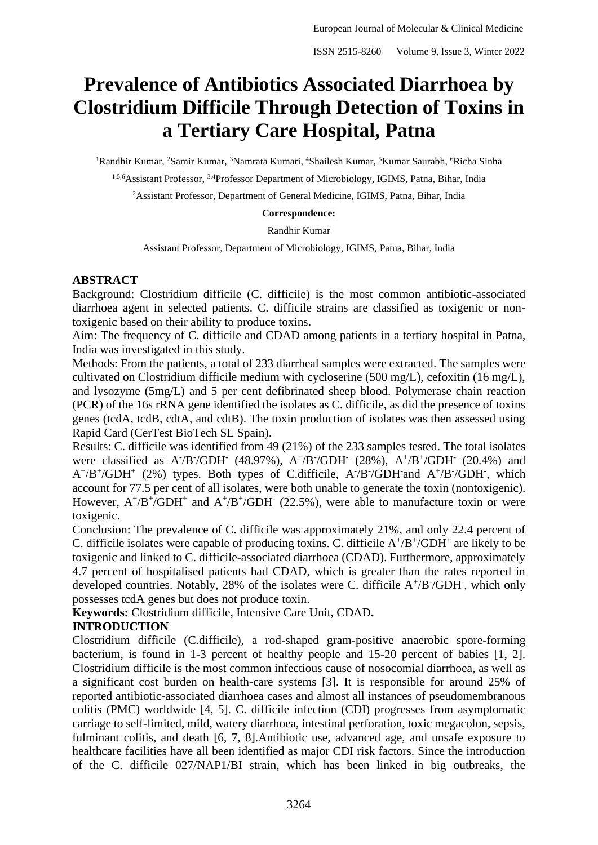# **Prevalence of Antibiotics Associated Diarrhoea by Clostridium Difficile Through Detection of Toxins in a Tertiary Care Hospital, Patna**

<sup>1</sup>Randhir Kumar, <sup>2</sup>Samir Kumar, <sup>3</sup>Namrata Kumari, <sup>4</sup>Shailesh Kumar, <sup>5</sup>Kumar Saurabh, <sup>6</sup>Richa Sinha

<sup>1,5,6</sup>Assistant Professor, <sup>3,4</sup>Professor Department of Microbiology, IGIMS, Patna, Bihar, India

<sup>2</sup>Assistant Professor, Department of General Medicine, IGIMS, Patna, Bihar, India

#### **Correspondence:**

Randhir Kumar

Assistant Professor, Department of Microbiology, IGIMS, Patna, Bihar, India

## **ABSTRACT**

Background: Clostridium difficile (C. difficile) is the most common antibiotic-associated diarrhoea agent in selected patients. C. difficile strains are classified as toxigenic or nontoxigenic based on their ability to produce toxins.

Aim: The frequency of C. difficile and CDAD among patients in a tertiary hospital in Patna, India was investigated in this study.

Methods: From the patients, a total of 233 diarrheal samples were extracted. The samples were cultivated on Clostridium difficile medium with cycloserine (500 mg/L), cefoxitin (16 mg/L), and lysozyme (5mg/L) and 5 per cent defibrinated sheep blood. Polymerase chain reaction (PCR) of the 16s rRNA gene identified the isolates as C. difficile, as did the presence of toxins genes (tcdA, tcdB, cdtA, and cdtB). The toxin production of isolates was then assessed using Rapid Card (CerTest BioTech SL Spain).

Results: C. difficile was identified from 49 (21%) of the 233 samples tested. The total isolates were classified as A<sup>-</sup>/B<sup>-</sup>/GDH<sup>-</sup> (48.97%), A<sup>+</sup>/B<sup>-</sup>/GDH<sup>-</sup> (28%), A<sup>+</sup>/B<sup>+</sup>/GDH<sup>-</sup> (20.4%) and  $A^{+}/B^{+}/GDH^{+}$  (2%) types. Both types of C.difficile,  $A^{+}/B^{+}/GDH^{-}$  and  $A^{+}/B^{-}/GDH^{-}$ , which account for 77.5 per cent of all isolates, were both unable to generate the toxin (nontoxigenic). However,  $A^{+}/B^{+}/GDH^{+}$  and  $A^{+}/B^{+}/GDH^{-}$  (22.5%), were able to manufacture toxin or were toxigenic.

Conclusion: The prevalence of C. difficile was approximately 21%, and only 22.4 percent of C. difficile isolates were capable of producing toxins. C. difficile  $A^{+}/B^{+}/GDH^{\pm}$  are likely to be toxigenic and linked to C. difficile-associated diarrhoea (CDAD). Furthermore, approximately 4.7 percent of hospitalised patients had CDAD, which is greater than the rates reported in developed countries. Notably, 28% of the isolates were C. difficile  $A^{+}/B^{-}/GDH^{-}$ , which only possesses tcdA genes but does not produce toxin.

**Keywords:** Clostridium difficile, Intensive Care Unit, CDAD**.**

# **INTRODUCTION**

Clostridium difficile (C.difficile), a rod-shaped gram-positive anaerobic spore-forming bacterium, is found in 1-3 percent of healthy people and 15-20 percent of babies [1, 2]. Clostridium difficile is the most common infectious cause of nosocomial diarrhoea, as well as a significant cost burden on health-care systems [3]. It is responsible for around 25% of reported antibiotic-associated diarrhoea cases and almost all instances of pseudomembranous colitis (PMC) worldwide [4, 5]. C. difficile infection (CDI) progresses from asymptomatic carriage to self-limited, mild, watery diarrhoea, intestinal perforation, toxic megacolon, sepsis, fulminant colitis, and death [6, 7, 8].Antibiotic use, advanced age, and unsafe exposure to healthcare facilities have all been identified as major CDI risk factors. Since the introduction of the C. difficile 027/NAP1/BI strain, which has been linked in big outbreaks, the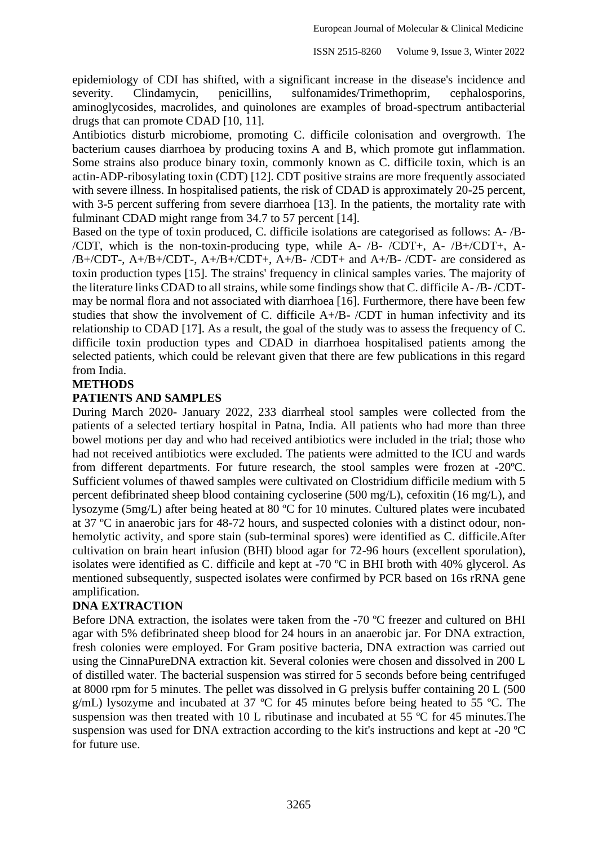epidemiology of CDI has shifted, with a significant increase in the disease's incidence and severity. Clindamycin, penicillins, sulfonamides/Trimethoprim, cephalosporins, aminoglycosides, macrolides, and quinolones are examples of broad-spectrum antibacterial drugs that can promote CDAD [10, 11].

Antibiotics disturb microbiome, promoting C. difficile colonisation and overgrowth. The bacterium causes diarrhoea by producing toxins A and B, which promote gut inflammation. Some strains also produce binary toxin, commonly known as C. difficile toxin, which is an actin-ADP-ribosylating toxin (CDT) [12]. CDT positive strains are more frequently associated with severe illness. In hospitalised patients, the risk of CDAD is approximately 20-25 percent, with 3-5 percent suffering from severe diarrhoea [13]. In the patients, the mortality rate with fulminant CDAD might range from 34.7 to 57 percent [14].

Based on the type of toxin produced, C. difficile isolations are categorised as follows: A- /B- /CDT, which is the non-toxin-producing type, while A- /B- /CDT+, A- /B+/CDT+, A- /B+/CDT-, A+/B+/CDT-, A+/B+/CDT+, A+/B- /CDT+ and A+/B- /CDT- are considered as toxin production types [15]. The strains' frequency in clinical samples varies. The majority of the literature links CDAD to all strains, while some findings show that C. difficile A- /B- /CDTmay be normal flora and not associated with diarrhoea [16]. Furthermore, there have been few studies that show the involvement of C. difficile A+/B- /CDT in human infectivity and its relationship to CDAD [17]. As a result, the goal of the study was to assess the frequency of C. difficile toxin production types and CDAD in diarrhoea hospitalised patients among the selected patients, which could be relevant given that there are few publications in this regard from India.

#### **METHODS**

#### **PATIENTS AND SAMPLES**

During March 2020- January 2022, 233 diarrheal stool samples were collected from the patients of a selected tertiary hospital in Patna, India. All patients who had more than three bowel motions per day and who had received antibiotics were included in the trial; those who had not received antibiotics were excluded. The patients were admitted to the ICU and wards from different departments. For future research, the stool samples were frozen at -20ºC. Sufficient volumes of thawed samples were cultivated on Clostridium difficile medium with 5 percent defibrinated sheep blood containing cycloserine (500 mg/L), cefoxitin (16 mg/L), and lysozyme (5mg/L) after being heated at 80 ºC for 10 minutes. Cultured plates were incubated at 37 ºC in anaerobic jars for 48-72 hours, and suspected colonies with a distinct odour, nonhemolytic activity, and spore stain (sub-terminal spores) were identified as C. difficile.After cultivation on brain heart infusion (BHI) blood agar for 72-96 hours (excellent sporulation), isolates were identified as C. difficile and kept at -70 ºC in BHI broth with 40% glycerol. As mentioned subsequently, suspected isolates were confirmed by PCR based on 16s rRNA gene amplification.

#### **DNA EXTRACTION**

Before DNA extraction, the isolates were taken from the -70 °C freezer and cultured on BHI agar with 5% defibrinated sheep blood for 24 hours in an anaerobic jar. For DNA extraction, fresh colonies were employed. For Gram positive bacteria, DNA extraction was carried out using the CinnaPureDNA extraction kit. Several colonies were chosen and dissolved in 200 L of distilled water. The bacterial suspension was stirred for 5 seconds before being centrifuged at 8000 rpm for 5 minutes. The pellet was dissolved in G prelysis buffer containing 20 L (500 g/mL) lysozyme and incubated at 37 ºC for 45 minutes before being heated to 55 ºC. The suspension was then treated with 10 L ributinase and incubated at 55 ºC for 45 minutes.The suspension was used for DNA extraction according to the kit's instructions and kept at -20 ºC for future use.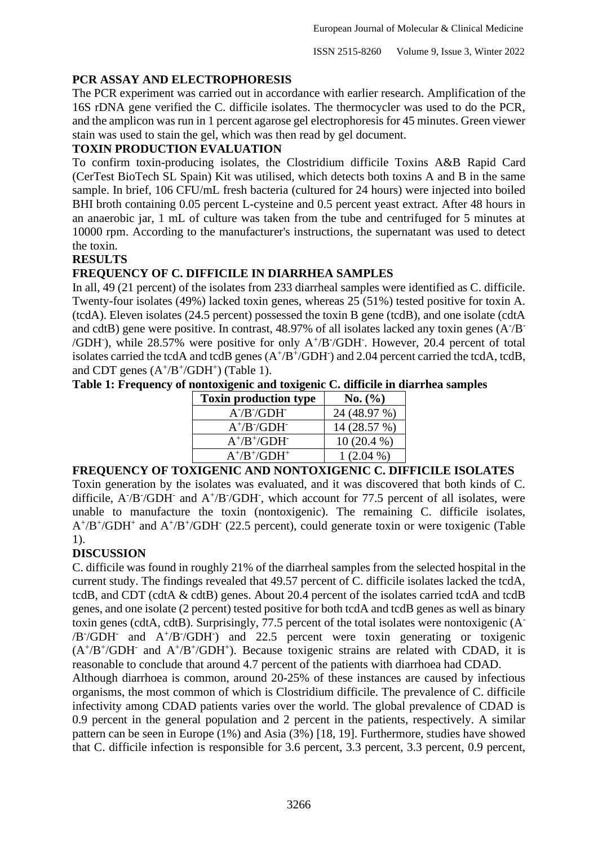# **PCR ASSAY AND ELECTROPHORESIS**

The PCR experiment was carried out in accordance with earlier research. Amplification of the 16S rDNA gene verified the C. difficile isolates. The thermocycler was used to do the PCR, and the amplicon was run in 1 percent agarose gel electrophoresis for 45 minutes. Green viewer stain was used to stain the gel, which was then read by gel document.

## **TOXIN PRODUCTION EVALUATION**

To confirm toxin-producing isolates, the Clostridium difficile Toxins A&B Rapid Card (CerTest BioTech SL Spain) Kit was utilised, which detects both toxins A and B in the same sample. In brief, 106 CFU/mL fresh bacteria (cultured for 24 hours) were injected into boiled BHI broth containing 0.05 percent L-cysteine and 0.5 percent yeast extract. After 48 hours in an anaerobic jar, 1 mL of culture was taken from the tube and centrifuged for 5 minutes at 10000 rpm. According to the manufacturer's instructions, the supernatant was used to detect the toxin.

## **RESULTS**

# **FREQUENCY OF C. DIFFICILE IN DIARRHEA SAMPLES**

In all, 49 (21 percent) of the isolates from 233 diarrheal samples were identified as C. difficile. Twenty-four isolates (49%) lacked toxin genes, whereas 25 (51%) tested positive for toxin A. (tcdA). Eleven isolates (24.5 percent) possessed the toxin B gene (tcdB), and one isolate (cdtA and cdtB) gene were positive. In contrast, 48.97% of all isolates lacked any toxin genes (A7B /GDH- ), while 28.57% were positive for only A<sup>+</sup> /B- /GDH- . However, 20.4 percent of total isolates carried the tcdA and tcdB genes  $(A<sup>+/B<sup>+/</sup>GDH<sup>+</sup>)</sup>$  and 2.04 percent carried the tcdA, tcdB, and CDT genes  $(A^+/B^+/GDH^+)$  (Table 1).

## **Table 1: Frequency of nontoxigenic and toxigenic C. difficile in diarrhea samples**

| <b>Toxin production type</b> | No. (%)      |
|------------------------------|--------------|
| $A7/B7/GDH7$                 | 24 (48.97 %) |
| $A^+/B^-/GDH^-$              | 14 (28.57 %) |
| $A^+/B^+/GDH^-$              | $10(20.4\%)$ |
| $A^+/B^+/GDH^+$              | $1(2.04\%)$  |

#### **FREQUENCY OF TOXIGENIC AND NONTOXIGENIC C. DIFFICILE ISOLATES**

Toxin generation by the isolates was evaluated, and it was discovered that both kinds of C. difficile,  $A/B$  /GDH<sup>-</sup> and  $A^{+}/B$  /GDH<sup>-</sup>, which account for 77.5 percent of all isolates, were unable to manufacture the toxin (nontoxigenic). The remaining C. difficile isolates,  $A^{+/}B^{+}/GDH^{+}$  and  $A^{+/}B^{+}/GDH^{-}$  (22.5 percent), could generate toxin or were toxigenic (Table 1).

# **DISCUSSION**

C. difficile was found in roughly 21% of the diarrheal samples from the selected hospital in the current study. The findings revealed that 49.57 percent of C. difficile isolates lacked the tcdA, tcdB, and CDT (cdtA & cdtB) genes. About 20.4 percent of the isolates carried tcdA and tcdB genes, and one isolate (2 percent) tested positive for both tcdA and tcdB genes as well as binary toxin genes (cdtA, cdtB). Surprisingly, 77.5 percent of the total isolates were nontoxigenic (A<sup>-</sup> /B<sup>-</sup>/GDH<sup>-</sup> and A<sup>+</sup>/B<sup>-</sup>/GDH<sup>-</sup>) and 22.5 percent were toxin generating or toxigenic  $(A<sup>+/B<sup>+/</sup>GDH<sup>-</sup></sup>$  and  $A<sup>+/B<sup>+/</sup>GDH<sup>+</sup></sup>$ ). Because toxigenic strains are related with CDAD, it is reasonable to conclude that around 4.7 percent of the patients with diarrhoea had CDAD.

Although diarrhoea is common, around 20-25% of these instances are caused by infectious organisms, the most common of which is Clostridium difficile. The prevalence of C. difficile infectivity among CDAD patients varies over the world. The global prevalence of CDAD is 0.9 percent in the general population and 2 percent in the patients, respectively. A similar pattern can be seen in Europe (1%) and Asia (3%) [18, 19]. Furthermore, studies have showed that C. difficile infection is responsible for 3.6 percent, 3.3 percent, 3.3 percent, 0.9 percent,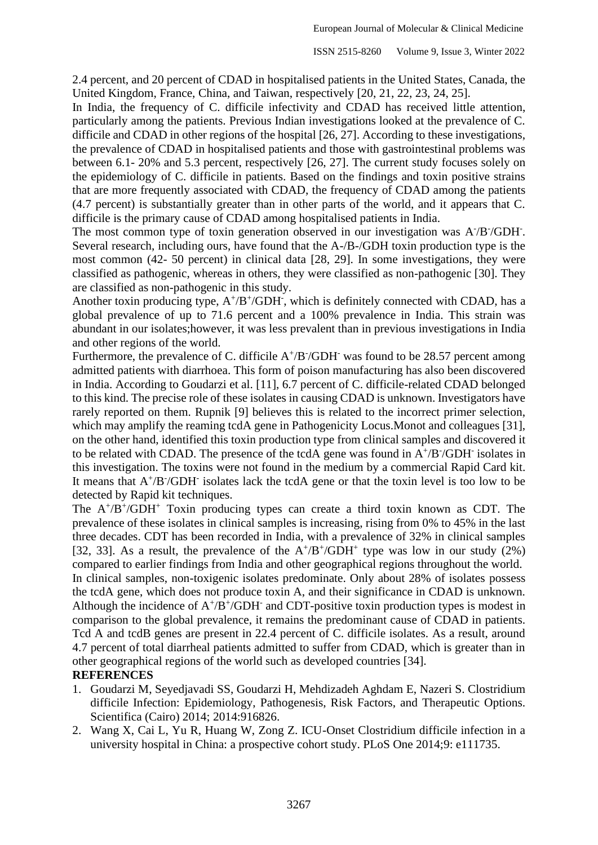2.4 percent, and 20 percent of CDAD in hospitalised patients in the United States, Canada, the United Kingdom, France, China, and Taiwan, respectively [20, 21, 22, 23, 24, 25].

In India, the frequency of C. difficile infectivity and CDAD has received little attention, particularly among the patients. Previous Indian investigations looked at the prevalence of C. difficile and CDAD in other regions of the hospital [26, 27]. According to these investigations, the prevalence of CDAD in hospitalised patients and those with gastrointestinal problems was between 6.1- 20% and 5.3 percent, respectively [26, 27]. The current study focuses solely on the epidemiology of C. difficile in patients. Based on the findings and toxin positive strains that are more frequently associated with CDAD, the frequency of CDAD among the patients (4.7 percent) is substantially greater than in other parts of the world, and it appears that C. difficile is the primary cause of CDAD among hospitalised patients in India.

The most common type of toxin generation observed in our investigation was A<sup>-</sup>/B<sup>-</sup>/GDH<sup>-</sup>. Several research, including ours, have found that the A-/B-/GDH toxin production type is the most common (42- 50 percent) in clinical data [28, 29]. In some investigations, they were classified as pathogenic, whereas in others, they were classified as non-pathogenic [30]. They are classified as non-pathogenic in this study.

Another toxin producing type,  $A^{+/}B^{+/}GDH$ , which is definitely connected with CDAD, has a global prevalence of up to 71.6 percent and a 100% prevalence in India. This strain was abundant in our isolates;however, it was less prevalent than in previous investigations in India and other regions of the world.

Furthermore, the prevalence of C. difficile  $A^{+}/B^{+}/GDH^{-}$  was found to be 28.57 percent among admitted patients with diarrhoea. This form of poison manufacturing has also been discovered in India. According to Goudarzi et al. [11], 6.7 percent of C. difficile-related CDAD belonged to this kind. The precise role of these isolates in causing CDAD is unknown. Investigators have rarely reported on them. Rupnik [9] believes this is related to the incorrect primer selection, which may amplify the reaming tcdA gene in Pathogenicity Locus.Monot and colleagues [31], on the other hand, identified this toxin production type from clinical samples and discovered it to be related with CDAD. The presence of the tcdA gene was found in  $A^{+}/B^{-}/GDH^{-}$  isolates in this investigation. The toxins were not found in the medium by a commercial Rapid Card kit. It means that  $A^{+}/B^{-}/GDH^{-}$  isolates lack the tcdA gene or that the toxin level is too low to be detected by Rapid kit techniques.

The  $A^{+}/B^{+}/GDH^{+}$  Toxin producing types can create a third toxin known as CDT. The prevalence of these isolates in clinical samples is increasing, rising from 0% to 45% in the last three decades. CDT has been recorded in India, with a prevalence of 32% in clinical samples [32, 33]. As a result, the prevalence of the  $A^{+}/B^{+}/GDH^{+}$  type was low in our study (2%) compared to earlier findings from India and other geographical regions throughout the world. In clinical samples, non-toxigenic isolates predominate. Only about 28% of isolates possess the tcdA gene, which does not produce toxin A, and their significance in CDAD is unknown.

Although the incidence of  $A^{+}/B^{+}/GDH^{-}$  and CDT-positive toxin production types is modest in comparison to the global prevalence, it remains the predominant cause of CDAD in patients. Tcd A and tcdB genes are present in 22.4 percent of C. difficile isolates. As a result, around 4.7 percent of total diarrheal patients admitted to suffer from CDAD, which is greater than in other geographical regions of the world such as developed countries [34].

# **REFERENCES**

- 1. Goudarzi M, Seyedjavadi SS, Goudarzi H, Mehdizadeh Aghdam E, Nazeri S. Clostridium difficile Infection: Epidemiology, Pathogenesis, Risk Factors, and Therapeutic Options. Scientifica (Cairo) 2014; 2014:916826.
- 2. Wang X, Cai L, Yu R, Huang W, Zong Z. ICU-Onset Clostridium difficile infection in a university hospital in China: a prospective cohort study. PLoS One 2014;9: e111735.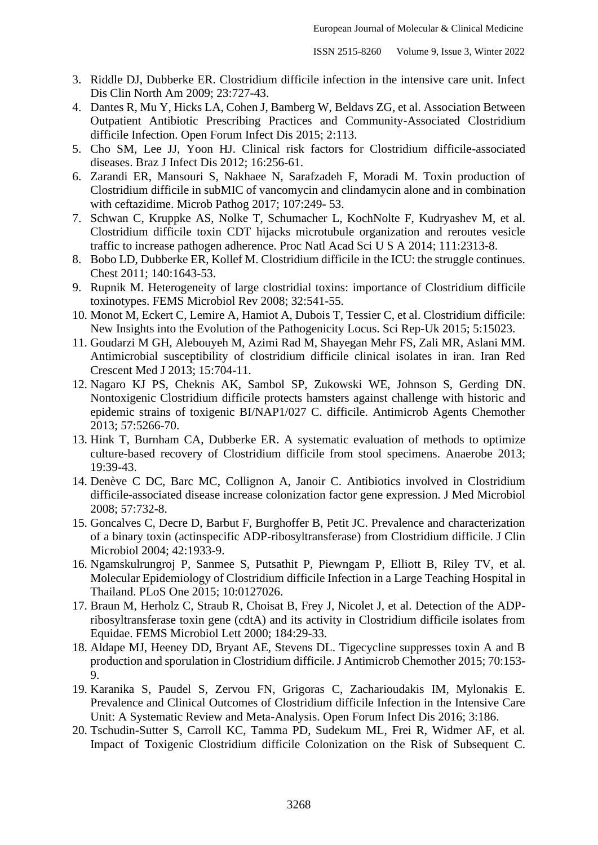- 3. Riddle DJ, Dubberke ER. Clostridium difficile infection in the intensive care unit. Infect Dis Clin North Am 2009; 23:727-43.
- 4. Dantes R, Mu Y, Hicks LA, Cohen J, Bamberg W, Beldavs ZG, et al. Association Between Outpatient Antibiotic Prescribing Practices and Community-Associated Clostridium difficile Infection. Open Forum Infect Dis 2015; 2:113.
- 5. Cho SM, Lee JJ, Yoon HJ. Clinical risk factors for Clostridium difficile-associated diseases. Braz J Infect Dis 2012; 16:256-61.
- 6. Zarandi ER, Mansouri S, Nakhaee N, Sarafzadeh F, Moradi M. Toxin production of Clostridium difficile in subMIC of vancomycin and clindamycin alone and in combination with ceftazidime. Microb Pathog 2017; 107:249- 53.
- 7. Schwan C, Kruppke AS, Nolke T, Schumacher L, KochNolte F, Kudryashev M, et al. Clostridium difficile toxin CDT hijacks microtubule organization and reroutes vesicle traffic to increase pathogen adherence. Proc Natl Acad Sci U S A 2014; 111:2313-8.
- 8. Bobo LD, Dubberke ER, Kollef M. Clostridium difficile in the ICU: the struggle continues. Chest 2011; 140:1643-53.
- 9. Rupnik M. Heterogeneity of large clostridial toxins: importance of Clostridium difficile toxinotypes. FEMS Microbiol Rev 2008; 32:541-55.
- 10. Monot M, Eckert C, Lemire A, Hamiot A, Dubois T, Tessier C, et al. Clostridium difficile: New Insights into the Evolution of the Pathogenicity Locus. Sci Rep-Uk 2015; 5:15023.
- 11. Goudarzi M GH, Alebouyeh M, Azimi Rad M, Shayegan Mehr FS, Zali MR, Aslani MM. Antimicrobial susceptibility of clostridium difficile clinical isolates in iran. Iran Red Crescent Med J 2013; 15:704-11.
- 12. Nagaro KJ PS, Cheknis AK, Sambol SP, Zukowski WE, Johnson S, Gerding DN. Nontoxigenic Clostridium difficile protects hamsters against challenge with historic and epidemic strains of toxigenic BI/NAP1/027 C. difficile. Antimicrob Agents Chemother 2013; 57:5266-70.
- 13. Hink T, Burnham CA, Dubberke ER. A systematic evaluation of methods to optimize culture-based recovery of Clostridium difficile from stool specimens. Anaerobe 2013; 19:39-43.
- 14. Denève C DC, Barc MC, Collignon A, Janoir C. Antibiotics involved in Clostridium difficile-associated disease increase colonization factor gene expression. J Med Microbiol 2008; 57:732-8.
- 15. Goncalves C, Decre D, Barbut F, Burghoffer B, Petit JC. Prevalence and characterization of a binary toxin (actinspecific ADP-ribosyltransferase) from Clostridium difficile. J Clin Microbiol 2004; 42:1933-9.
- 16. Ngamskulrungroj P, Sanmee S, Putsathit P, Piewngam P, Elliott B, Riley TV, et al. Molecular Epidemiology of Clostridium difficile Infection in a Large Teaching Hospital in Thailand. PLoS One 2015; 10:0127026.
- 17. Braun M, Herholz C, Straub R, Choisat B, Frey J, Nicolet J, et al. Detection of the ADPribosyltransferase toxin gene (cdtA) and its activity in Clostridium difficile isolates from Equidae. FEMS Microbiol Lett 2000; 184:29-33.
- 18. Aldape MJ, Heeney DD, Bryant AE, Stevens DL. Tigecycline suppresses toxin A and B production and sporulation in Clostridium difficile. J Antimicrob Chemother 2015; 70:153- 9.
- 19. Karanika S, Paudel S, Zervou FN, Grigoras C, Zacharioudakis IM, Mylonakis E. Prevalence and Clinical Outcomes of Clostridium difficile Infection in the Intensive Care Unit: A Systematic Review and Meta-Analysis. Open Forum Infect Dis 2016; 3:186.
- 20. Tschudin-Sutter S, Carroll KC, Tamma PD, Sudekum ML, Frei R, Widmer AF, et al. Impact of Toxigenic Clostridium difficile Colonization on the Risk of Subsequent C.